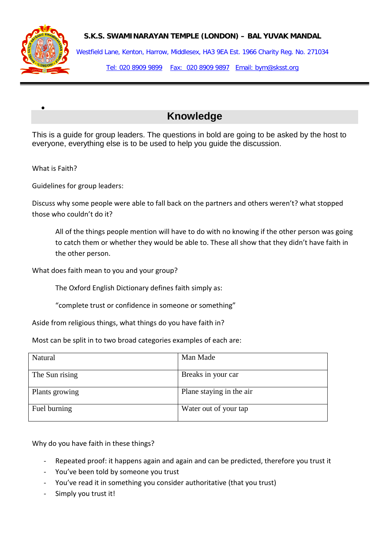



•

Westfield Lane, Kenton, Harrow, Middlesex, HA3 9EA Est. 1966 Charity Reg. No. 271034 Tel: 020 8909 9899 Fax: 020 8909 9897 Email: bym@sksst.org

## **Knowledge**

This is a guide for group leaders. The questions in bold are going to be asked by the host to everyone, everything else is to be used to help you guide the discussion.

What is Faith?

Guidelines for group leaders:

Discuss why some people were able to fall back on the partners and others weren't? what stopped those who couldn't do it?

All of the things people mention will have to do with no knowing if the other person was going to catch them or whether they would be able to. These all show that they didn't have faith in the other person.

What does faith mean to you and your group?

The Oxford English Dictionary defines faith simply as:

"complete trust or confidence in someone or something"

Aside from religious things, what things do you have faith in?

Most can be split in to two broad categories examples of each are:

| Natural        | Man Made                 |
|----------------|--------------------------|
| The Sun rising | Breaks in your car       |
| Plants growing | Plane staying in the air |
| Fuel burning   | Water out of your tap    |

Why do you have faith in these things?

- Repeated proof: it happens again and again and can be predicted, therefore you trust it
- You've been told by someone you trust
- You've read it in something you consider authoritative (that you trust)
- Simply you trust it!